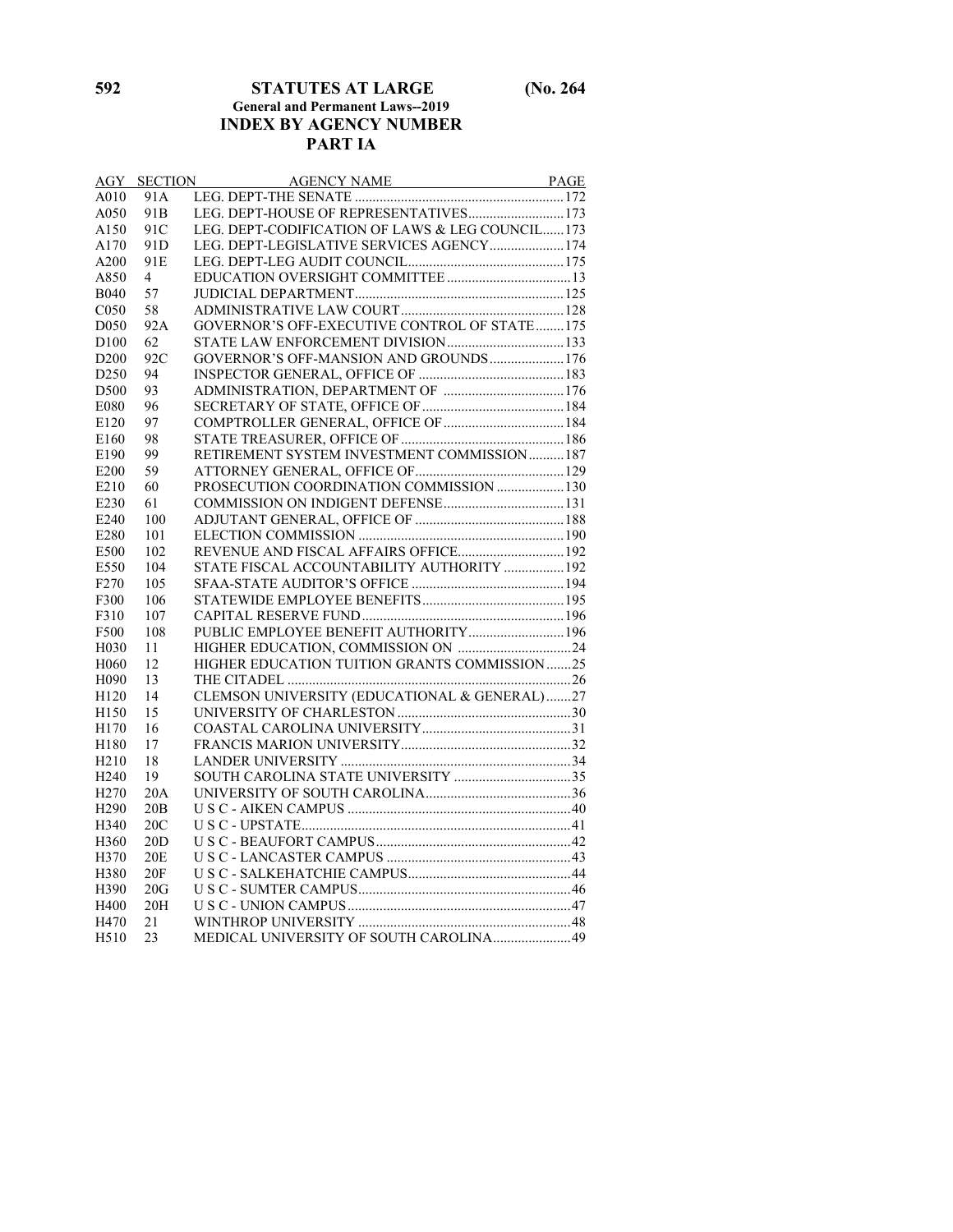#### **592 STATUTES AT LARGE (No. 264 General and Permanent Laws--2019 INDEX BY AGENCY NUMBER PART IA**

| AGY              | <b>SECTION</b>  | AGENCY NAME PAGE                                 |  |
|------------------|-----------------|--------------------------------------------------|--|
| A010             | 91A             |                                                  |  |
| A050             | 91 <sub>B</sub> | LEG. DEPT-HOUSE OF REPRESENTATIVES 173           |  |
| A150             | 91C             | LEG. DEPT-CODIFICATION OF LAWS & LEG COUNCIL 173 |  |
| A170             | 91 <sub>D</sub> | LEG. DEPT-LEGISLATIVE SERVICES AGENCY 174        |  |
| A200             | 91 <sub>E</sub> |                                                  |  |
| A850             | 4               |                                                  |  |
| <b>B040</b>      | 57              |                                                  |  |
| C <sub>050</sub> | 58              |                                                  |  |
| D <sub>050</sub> | 92A             | GOVERNOR'S OFF-EXECUTIVE CONTROL OF STATE175     |  |
| D100             | 62              |                                                  |  |
| D <sub>200</sub> | 92C             | GOVERNOR'S OFF-MANSION AND GROUNDS 176           |  |
| D <sub>250</sub> | 94              |                                                  |  |
| D500             | 93              |                                                  |  |
| E080             | 96              |                                                  |  |
| E120             | 97              | COMPTROLLER GENERAL, OFFICE OF  184              |  |
| E160             | 98              |                                                  |  |
| E190             | 99              | RETIREMENT SYSTEM INVESTMENT COMMISSION  187     |  |
| E200             | 59              |                                                  |  |
| E210             | 60              | PROSECUTION COORDINATION COMMISSION  130         |  |
| E230             | 61              |                                                  |  |
| E240             | 100             |                                                  |  |
| E280             | 101             |                                                  |  |
| E500             | 102             |                                                  |  |
| E550             | 104             | STATE FISCAL ACCOUNTABILITY AUTHORITY  192       |  |
| F <sub>270</sub> | 105             |                                                  |  |
| F300             | 106             |                                                  |  |
| F310             | 107             |                                                  |  |
| F500             | 108             | PUBLIC EMPLOYEE BENEFIT AUTHORITY 196            |  |
| H030             | 11              |                                                  |  |
| H <sub>060</sub> | 12              | HIGHER EDUCATION TUITION GRANTS COMMISSION25     |  |
| H <sub>090</sub> | 13              |                                                  |  |
| H <sub>120</sub> | 14              | CLEMSON UNIVERSITY (EDUCATIONAL & GENERAL)27     |  |
| H150             | 15              |                                                  |  |
| H170             | 16              |                                                  |  |
| H180             | 17              |                                                  |  |
| H <sub>210</sub> | 18              |                                                  |  |
| H <sub>240</sub> | 19              |                                                  |  |
| H <sub>270</sub> | 20A             |                                                  |  |
| H <sub>290</sub> | 20B             |                                                  |  |
| H340             | 20C             |                                                  |  |
| H360             | 20D             |                                                  |  |
| H370             | 20 <sub>E</sub> |                                                  |  |
| H380             | 20F             |                                                  |  |
| H390             | 20G             |                                                  |  |
| H400             | 20H             |                                                  |  |
| H470             | 21              |                                                  |  |
| H510             | 23              | MEDICAL UNIVERSITY OF SOUTH CAROLINA49           |  |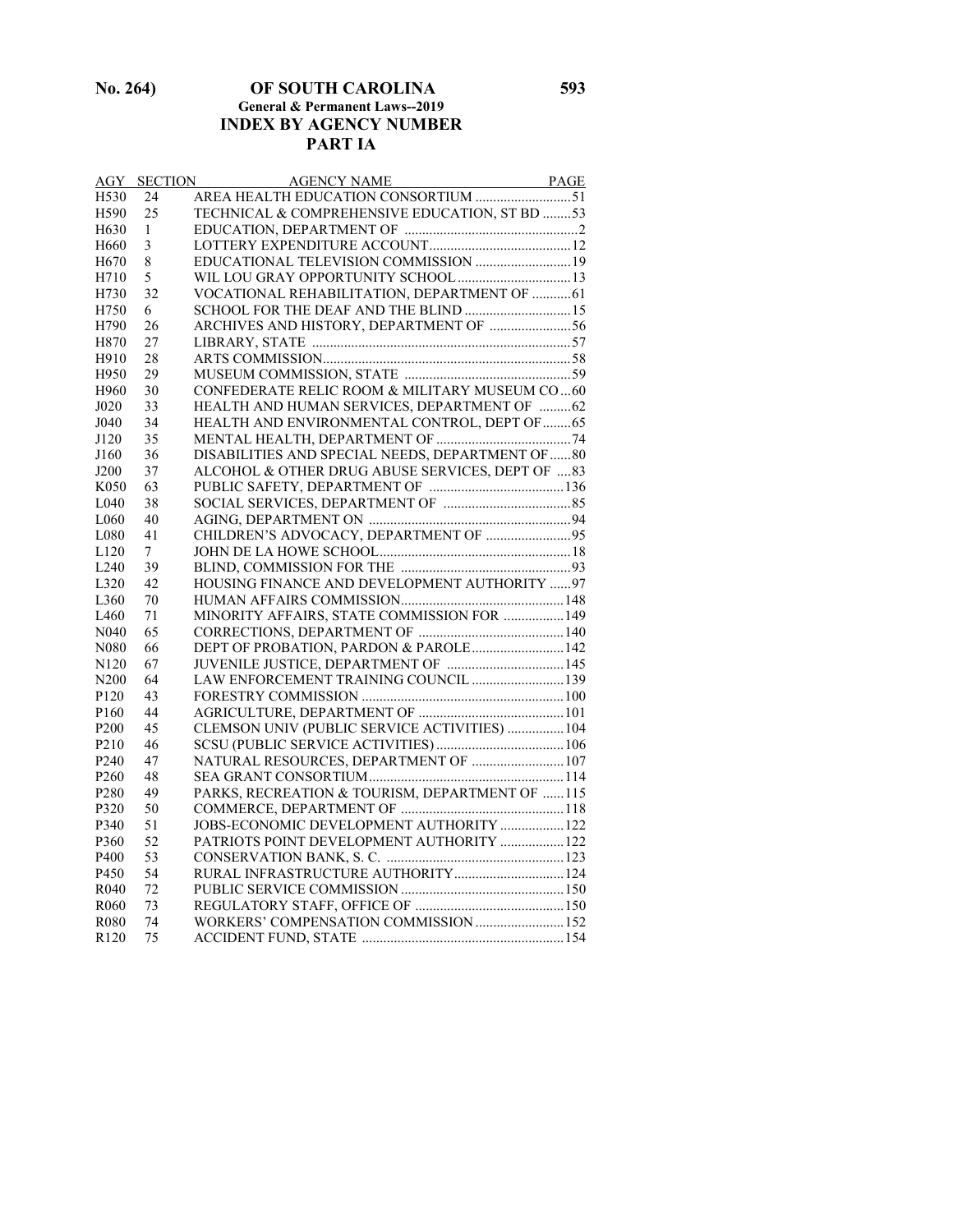#### **No. 264) OF SOUTH CAROLINA 593 General & Permanent Laws--2019 INDEX BY AGENCY NUMBER PART IA**

| AGY              | <b>SECTION</b> |                                                   |  |
|------------------|----------------|---------------------------------------------------|--|
| H <sub>530</sub> | 24             |                                                   |  |
| H590             | 25             | TECHNICAL & COMPREHENSIVE EDUCATION, ST BD 53     |  |
| H630             | 1              |                                                   |  |
| H <sub>660</sub> | 3              |                                                   |  |
| H <sub>670</sub> | 8              | EDUCATIONAL TELEVISION COMMISSION  19             |  |
| H710             | 5              |                                                   |  |
| H730             | 32             | VOCATIONAL REHABILITATION, DEPARTMENT OF  61      |  |
| H750             | 6              | SCHOOL FOR THE DEAF AND THE BLIND  15             |  |
| H790             | 26             | ARCHIVES AND HISTORY, DEPARTMENT OF 56            |  |
| H870             | 27             |                                                   |  |
| H910             | 28             |                                                   |  |
| H950             | 29             |                                                   |  |
| H960             | 30             | CONFEDERATE RELIC ROOM & MILITARY MUSEUM CO60     |  |
| J020             | 33             | HEALTH AND HUMAN SERVICES, DEPARTMENT OF  62      |  |
| J040             | 34             | HEALTH AND ENVIRONMENTAL CONTROL, DEPT OF  65     |  |
| J120             | 35             |                                                   |  |
| J160             | 36             | DISABILITIES AND SPECIAL NEEDS, DEPARTMENT OF  80 |  |
| J200             | 37             | ALCOHOL & OTHER DRUG ABUSE SERVICES, DEPT OF  83  |  |
| K050             | 63             |                                                   |  |
| L <sub>040</sub> | 38             |                                                   |  |
| L <sub>060</sub> | 40             |                                                   |  |
| L080             | 41             | CHILDREN'S ADVOCACY, DEPARTMENT OF  95            |  |
| L120             | $\tau$         |                                                   |  |
| L240             | 39             |                                                   |  |
| L320             | 42             | HOUSING FINANCE AND DEVELOPMENT AUTHORITY 97      |  |
| L360             | 70             |                                                   |  |
| L460             | 71             | MINORITY AFFAIRS, STATE COMMISSION FOR  149       |  |
| N <sub>040</sub> | 65             |                                                   |  |
| N080             | 66             | DEPT OF PROBATION, PARDON & PAROLE 142            |  |
| N <sub>120</sub> | 67             |                                                   |  |
| N <sub>200</sub> | 64             | LAW ENFORCEMENT TRAINING COUNCIL  139             |  |
| P <sub>120</sub> | 43             |                                                   |  |
| P <sub>160</sub> | 44             |                                                   |  |
| P <sub>200</sub> | 45             | CLEMSON UNIV (PUBLIC SERVICE ACTIVITIES)  104     |  |
| P <sub>210</sub> | 46             |                                                   |  |
| P <sub>240</sub> | 47             | NATURAL RESOURCES, DEPARTMENT OF  107             |  |
| P <sub>260</sub> | 48             |                                                   |  |
| P <sub>280</sub> | 49             | PARKS, RECREATION & TOURISM, DEPARTMENT OF 115    |  |
| P320             | 50             |                                                   |  |
| P340             | 51             | JOBS-ECONOMIC DEVELOPMENT AUTHORITY  122          |  |
| P360             | 52             | PATRIOTS POINT DEVELOPMENT AUTHORITY  122         |  |
| P400             | 53             |                                                   |  |
| P450             | 54             | RURAL INFRASTRUCTURE AUTHORITY  124               |  |
| R <sub>040</sub> | 72             |                                                   |  |
| R <sub>060</sub> | 73             |                                                   |  |
| R <sub>080</sub> | 74             | WORKERS' COMPENSATION COMMISSION  152             |  |
| R <sub>120</sub> | 75             |                                                   |  |
|                  |                |                                                   |  |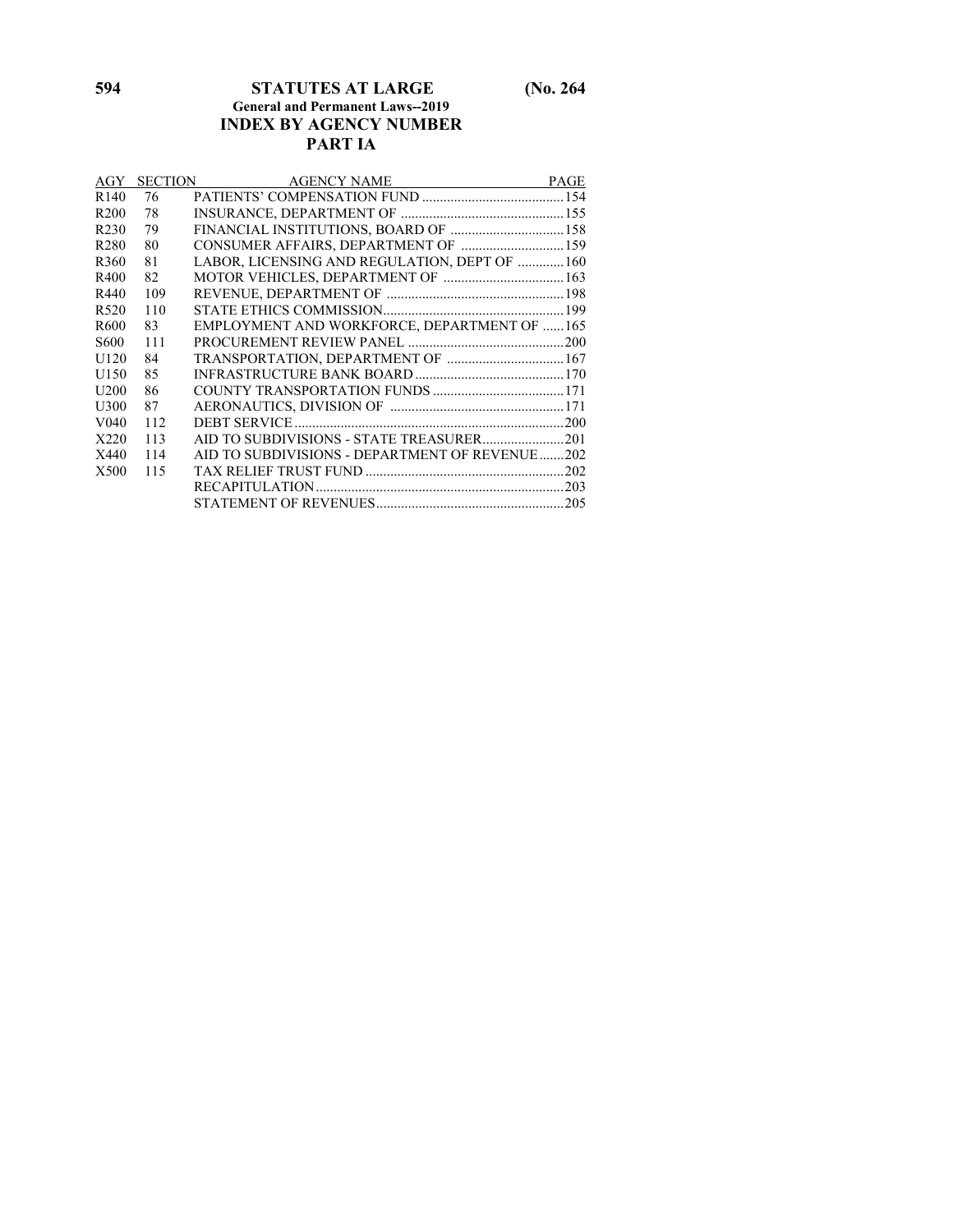#### **594 STATUTES AT LARGE (No. 264 General and Permanent Laws--2019 INDEX BY AGENCY NUMBER PART IA**

| AGY              |     | <b>SECTION</b><br>AGENCY NAME                  | <b>PAGE</b> |
|------------------|-----|------------------------------------------------|-------------|
| R <sub>140</sub> | 76  |                                                |             |
| R <sub>200</sub> | 78  |                                                |             |
| R <sub>230</sub> | 79  | FINANCIAL INSTITUTIONS, BOARD OF  158          |             |
| R <sub>280</sub> | 80  | CONSUMER AFFAIRS, DEPARTMENT OF 159            |             |
| R <sub>360</sub> | 81  | LABOR, LICENSING AND REGULATION, DEPT OF  160  |             |
| R400             | 82  |                                                |             |
| R440             | 109 |                                                |             |
| R <sub>520</sub> | 110 |                                                |             |
| R <sub>600</sub> | 83  | EMPLOYMENT AND WORKFORCE, DEPARTMENT OF 165    |             |
| S <sub>600</sub> | 111 |                                                |             |
| U <sub>120</sub> | 84  | TRANSPORTATION, DEPARTMENT OF  167             |             |
| U <sub>150</sub> | 85  |                                                |             |
| U <sub>200</sub> | 86  |                                                |             |
| U300             | 87  |                                                |             |
| V <sub>040</sub> | 112 |                                                |             |
| X220             | 113 |                                                |             |
| X440             | 114 | AID TO SUBDIVISIONS - DEPARTMENT OF REVENUE202 |             |
| X500             | 115 |                                                |             |
|                  |     |                                                |             |
|                  |     |                                                |             |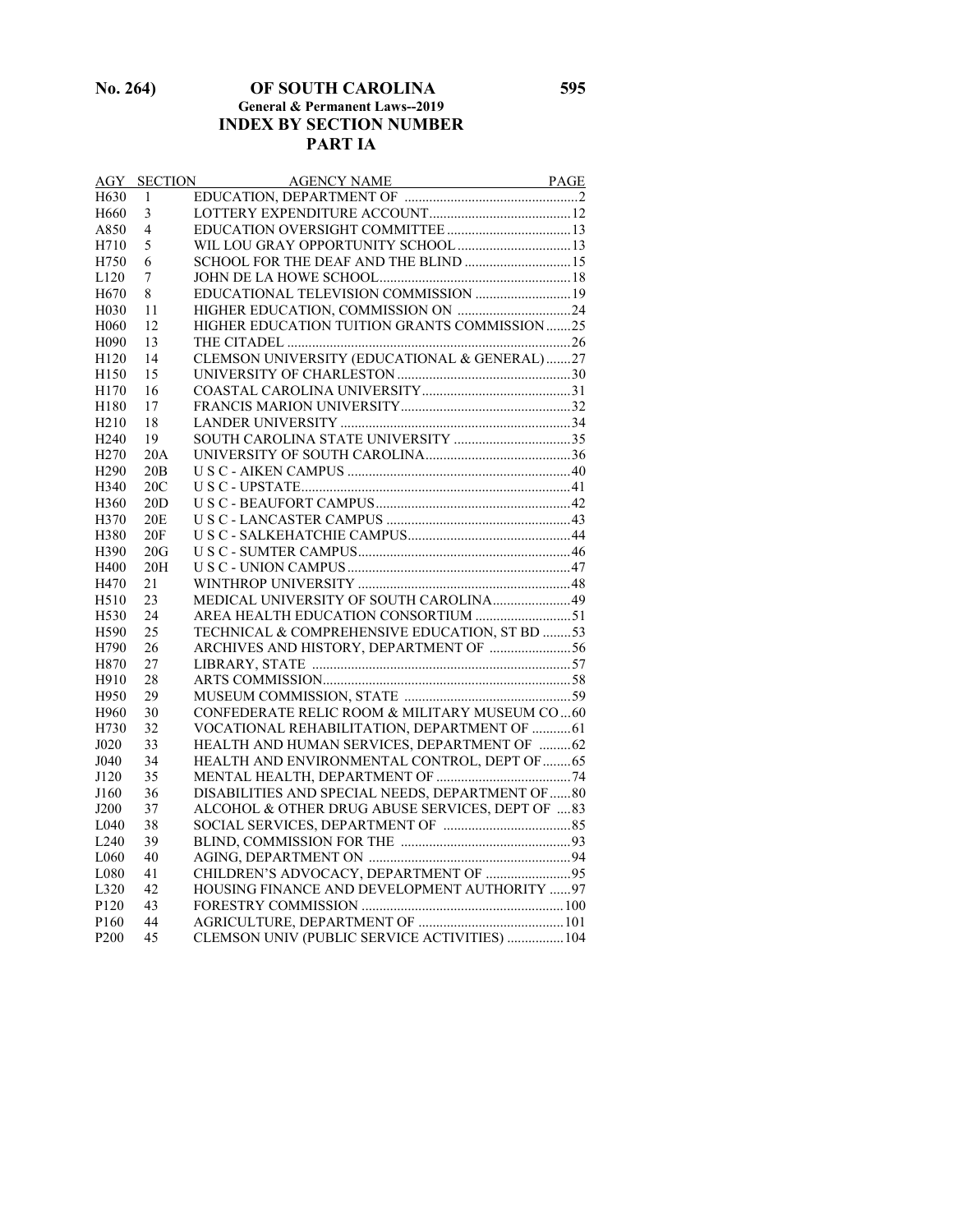**No. 264) OF SOUTH CAROLINA 595 General & Permanent Laws--2019 INDEX BY SECTION NUMBER PART IA**

|                   | <b>AGY SECTION</b> |                                                  |  |
|-------------------|--------------------|--------------------------------------------------|--|
| H <sub>630</sub>  | 1                  |                                                  |  |
| H <sub>660</sub>  | 3                  |                                                  |  |
| A850              | 4                  |                                                  |  |
| H710              | 5                  |                                                  |  |
| H750              | 6                  | SCHOOL FOR THE DEAF AND THE BLIND  15            |  |
| L120              | 7                  |                                                  |  |
| H <sub>670</sub>  | 8                  |                                                  |  |
| H <sub>0</sub> 30 | 11                 |                                                  |  |
| H <sub>060</sub>  | 12                 | HIGHER EDUCATION TUITION GRANTS COMMISSION25     |  |
| H <sub>090</sub>  | 13                 |                                                  |  |
| H <sub>120</sub>  | 14                 | CLEMSON UNIVERSITY (EDUCATIONAL & GENERAL)27     |  |
| H150              | 15                 |                                                  |  |
| H170              | 16                 |                                                  |  |
| H180              | 17                 |                                                  |  |
| H <sub>210</sub>  | 18                 |                                                  |  |
| H <sub>240</sub>  | 19                 |                                                  |  |
| H <sub>270</sub>  | 20A                |                                                  |  |
| H <sub>290</sub>  | 20B                |                                                  |  |
| H340              | 20C                |                                                  |  |
| H360              | 20D                |                                                  |  |
| H370              | 20E                |                                                  |  |
| H380              | 20F                |                                                  |  |
| H390              | 20G                |                                                  |  |
| H400              | 20H                |                                                  |  |
| H470              | 21                 |                                                  |  |
| H510              | 23                 | MEDICAL UNIVERSITY OF SOUTH CAROLINA49           |  |
| H <sub>530</sub>  | 24                 | AREA HEALTH EDUCATION CONSORTIUM 51              |  |
| H590              | 25                 | TECHNICAL & COMPREHENSIVE EDUCATION, ST BD 53    |  |
| H790              | 26                 | ARCHIVES AND HISTORY, DEPARTMENT OF 56           |  |
| H870              | 27                 |                                                  |  |
| H910              | 28                 |                                                  |  |
| H950              | 29                 |                                                  |  |
| H960              | 30                 | CONFEDERATE RELIC ROOM & MILITARY MUSEUM CO60    |  |
| H730              | 32                 | VOCATIONAL REHABILITATION, DEPARTMENT OF  61     |  |
| J020              | 33                 | HEALTH AND HUMAN SERVICES, DEPARTMENT OF  62     |  |
| J040              | 34                 | HEALTH AND ENVIRONMENTAL CONTROL, DEPT OF  65    |  |
| J120              | 35                 |                                                  |  |
| J160              | 36                 | DISABILITIES AND SPECIAL NEEDS, DEPARTMENT OF 80 |  |
| J200              | 37                 | ALCOHOL & OTHER DRUG ABUSE SERVICES, DEPT OF  83 |  |
| L <sub>040</sub>  | 38                 |                                                  |  |
| L240              | 39                 |                                                  |  |
| L060              | 40                 |                                                  |  |
| L080              | 41                 | CHILDREN'S ADVOCACY, DEPARTMENT OF 95            |  |
| L320              | 42                 | HOUSING FINANCE AND DEVELOPMENT AUTHORITY 97     |  |
| P120              | 43                 |                                                  |  |
| P <sub>160</sub>  | 44                 |                                                  |  |
| P <sub>200</sub>  | 45                 | CLEMSON UNIV (PUBLIC SERVICE ACTIVITIES)  104    |  |
|                   |                    |                                                  |  |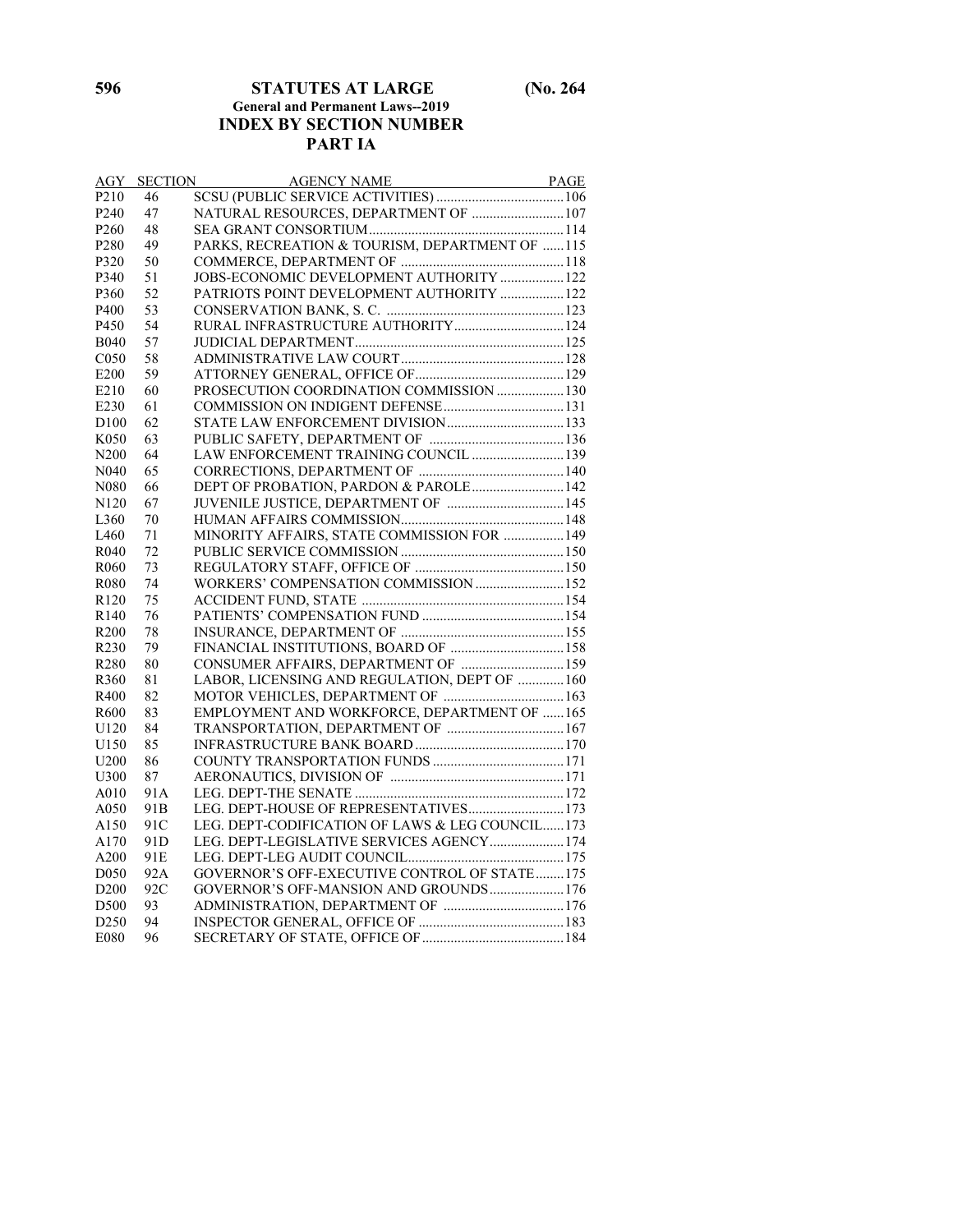#### **596 STATUTES AT LARGE (No. 264 General and Permanent Laws--2019 INDEX BY SECTION NUMBER PART IA**

| <b>AGY</b>        |                 |                                                  |  |
|-------------------|-----------------|--------------------------------------------------|--|
| P <sub>210</sub>  |                 |                                                  |  |
| P <sub>240</sub>  | 47              | NATURAL RESOURCES, DEPARTMENT OF  107            |  |
| P <sub>260</sub>  | 48              |                                                  |  |
| P <sub>280</sub>  | 49              | PARKS, RECREATION & TOURISM, DEPARTMENT OF 115   |  |
| P320              | 50              |                                                  |  |
| P340              | 51              | JOBS-ECONOMIC DEVELOPMENT AUTHORITY  122         |  |
| P360              | 52              | PATRIOTS POINT DEVELOPMENT AUTHORITY  122        |  |
| P400              | 53              |                                                  |  |
| P450              | 54              | RURAL INFRASTRUCTURE AUTHORITY 124               |  |
| <b>B040</b>       | 57              |                                                  |  |
| C <sub>050</sub>  | 58              |                                                  |  |
| E200              | 59              |                                                  |  |
| E210              | 60              | PROSECUTION COORDINATION COMMISSION  130         |  |
| E230              | 61              |                                                  |  |
| D <sub>100</sub>  | 62              |                                                  |  |
| K <sub>050</sub>  | 63              |                                                  |  |
| N <sub>200</sub>  | 64              | LAW ENFORCEMENT TRAINING COUNCIL  139            |  |
| N <sub>040</sub>  | 65              |                                                  |  |
| N <sub>0</sub> 80 | 66              | DEPT OF PROBATION, PARDON & PAROLE 142           |  |
| N <sub>120</sub>  | 67              |                                                  |  |
| L <sub>360</sub>  | 70              |                                                  |  |
| L460              | 71              | MINORITY AFFAIRS, STATE COMMISSION FOR  149      |  |
| R <sub>040</sub>  | 72              |                                                  |  |
| R <sub>060</sub>  | 73              |                                                  |  |
| R080              | 74              | WORKERS' COMPENSATION COMMISSION 152             |  |
| R <sub>120</sub>  | 75              |                                                  |  |
| R <sub>140</sub>  | 76              |                                                  |  |
| R <sub>200</sub>  | 78              |                                                  |  |
| R230              | 79              | FINANCIAL INSTITUTIONS, BOARD OF  158            |  |
| R280              | 80              | CONSUMER AFFAIRS, DEPARTMENT OF  159             |  |
| R360              | 81              | LABOR, LICENSING AND REGULATION, DEPT OF  160    |  |
| R400              | 82              |                                                  |  |
| R600              | 83              | EMPLOYMENT AND WORKFORCE, DEPARTMENT OF 165      |  |
| U120              | 84              | TRANSPORTATION, DEPARTMENT OF  167               |  |
| U150              | 85              |                                                  |  |
| U <sub>200</sub>  | 86              |                                                  |  |
| U300              | 87              |                                                  |  |
| A010              | 91A             |                                                  |  |
| A050              | 91 <sub>B</sub> | LEG. DEPT-HOUSE OF REPRESENTATIVES 173           |  |
| A150              | 91C             | LEG. DEPT-CODIFICATION OF LAWS & LEG COUNCIL 173 |  |
| A170              | 91 <sub>D</sub> | LEG. DEPT-LEGISLATIVE SERVICES AGENCY 174        |  |
| A200              | 91E             |                                                  |  |
| D <sub>050</sub>  | 92A             | GOVERNOR'S OFF-EXECUTIVE CONTROL OF STATE 175    |  |
| D <sub>200</sub>  | 92C             | GOVERNOR'S OFF-MANSION AND GROUNDS 176           |  |
| D500              | 93              |                                                  |  |
| D <sub>250</sub>  | 94              |                                                  |  |
| E080              | 96              |                                                  |  |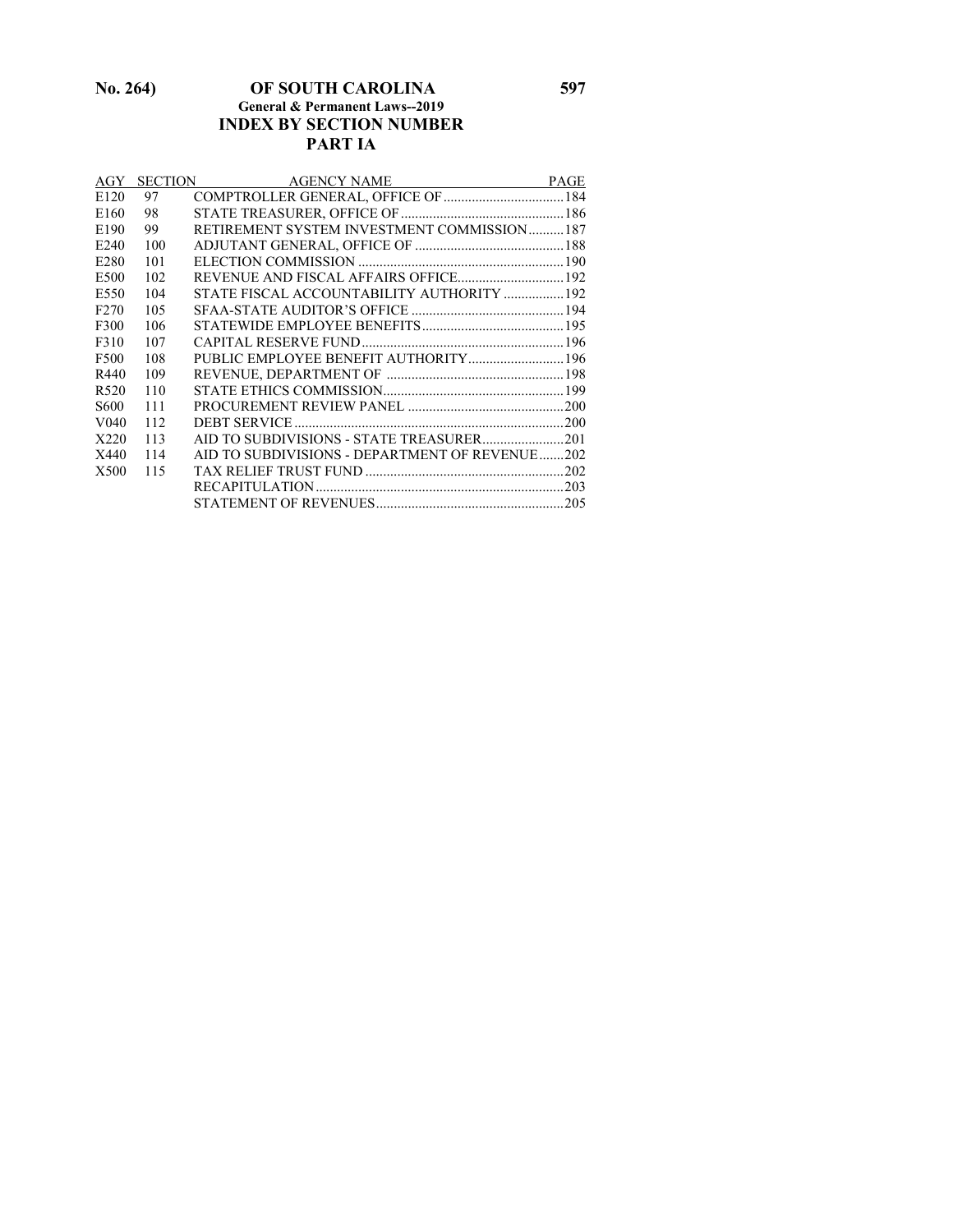#### **No. 264) OF SOUTH CAROLINA 597 General & Permanent Laws--2019 INDEX BY SECTION NUMBER PART IA**

| AGY              |     | <b>SECTION</b><br>AGENCY NAME                  | <b>PAGE</b> |
|------------------|-----|------------------------------------------------|-------------|
| E <sub>120</sub> | 97  |                                                |             |
| E160             | 98  |                                                |             |
| E190             | 99  | RETIREMENT SYSTEM INVESTMENT COMMISSION187     |             |
| E <sub>240</sub> | 100 |                                                |             |
| E <sub>280</sub> | 101 |                                                |             |
| E500             | 102 |                                                |             |
| E550             | 104 | STATE FISCAL ACCOUNTABILITY AUTHORITY  192     |             |
| F <sub>270</sub> | 105 |                                                |             |
| F300             | 106 |                                                |             |
| F310             | 107 |                                                |             |
| F500             | 108 |                                                |             |
| R440             | 109 |                                                |             |
| R <sub>520</sub> | 110 |                                                |             |
| S <sub>600</sub> | 111 |                                                |             |
| V <sub>040</sub> | 112 |                                                |             |
| X220             | 113 |                                                |             |
| X440             | 114 | AID TO SUBDIVISIONS - DEPARTMENT OF REVENUE202 |             |
| X500             | 115 |                                                |             |
|                  |     |                                                |             |
|                  |     |                                                |             |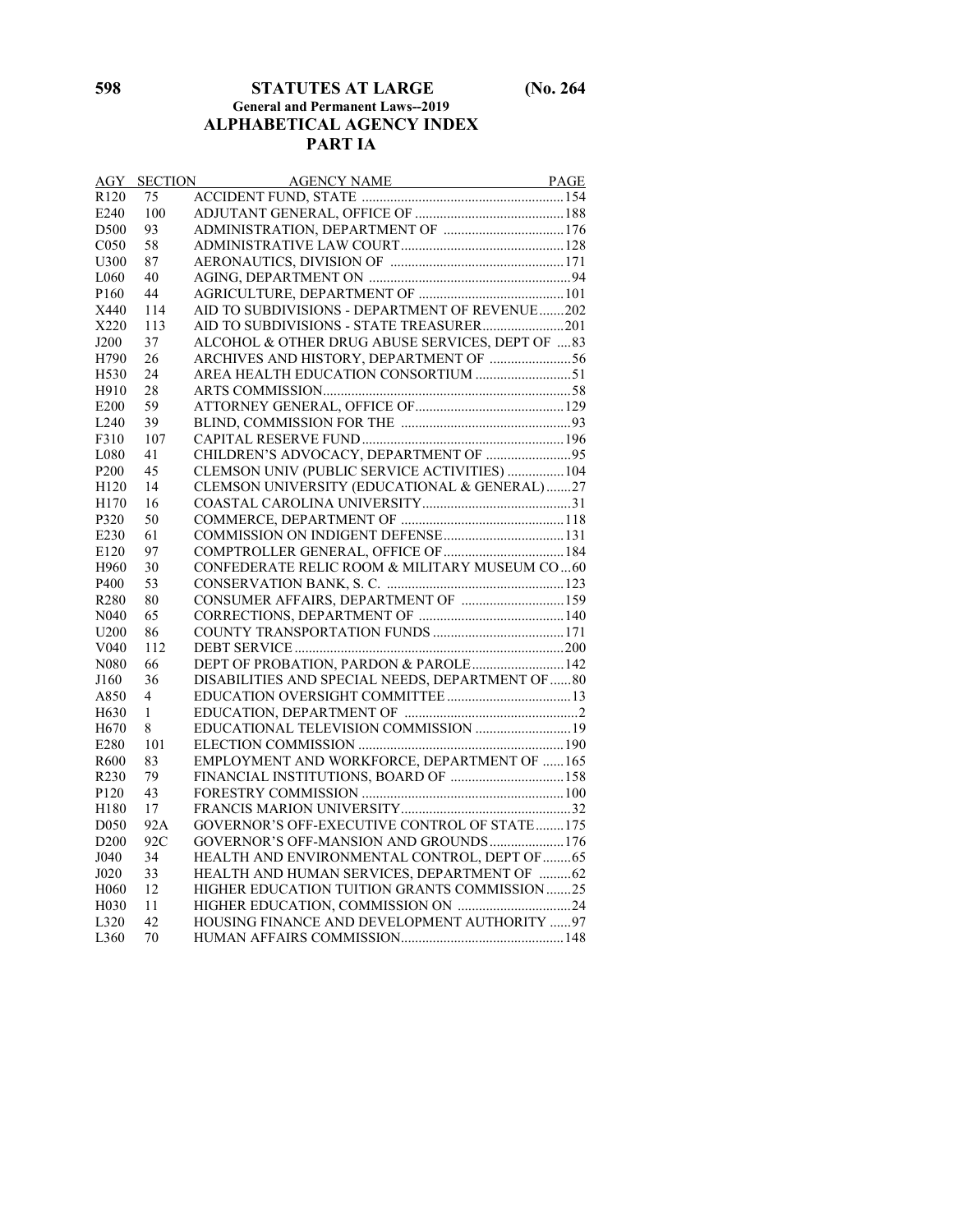#### **598 STATUTES AT LARGE (No. 264 General and Permanent Laws--2019 ALPHABETICAL AGENCY INDEX PART IA**

| AGY               | <b>SECTION</b> | AGENCY NAME PAGE                                  |  |
|-------------------|----------------|---------------------------------------------------|--|
| R <sub>120</sub>  | 75             |                                                   |  |
| E240              | 100            |                                                   |  |
| D500              | 93             |                                                   |  |
| C <sub>050</sub>  | 58             |                                                   |  |
| U300              | 87             |                                                   |  |
| L <sub>060</sub>  | 40             |                                                   |  |
| P <sub>160</sub>  | 44             |                                                   |  |
| X440              | 114            | AID TO SUBDIVISIONS - DEPARTMENT OF REVENUE202    |  |
| X220              | 113            | AID TO SUBDIVISIONS - STATE TREASURER201          |  |
| J200              | 37             | ALCOHOL & OTHER DRUG ABUSE SERVICES, DEPT OF  83  |  |
| H790              | 26             | ARCHIVES AND HISTORY, DEPARTMENT OF 56            |  |
| H530              | 24             | AREA HEALTH EDUCATION CONSORTIUM 51               |  |
| H910              | 28             |                                                   |  |
| E200              | 59             |                                                   |  |
| L240              | 39             |                                                   |  |
| F310              | 107            |                                                   |  |
| L080              | 41             | CHILDREN'S ADVOCACY, DEPARTMENT OF 95             |  |
| P <sub>200</sub>  | 45             | CLEMSON UNIV (PUBLIC SERVICE ACTIVITIES)  104     |  |
| H120              | 14             | CLEMSON UNIVERSITY (EDUCATIONAL & GENERAL) 27     |  |
| H170              | 16             |                                                   |  |
| P320              | 50             |                                                   |  |
| E230              | 61             |                                                   |  |
| E120              | 97             |                                                   |  |
| H960              | 30             | CONFEDERATE RELIC ROOM & MILITARY MUSEUM CO60     |  |
| P400              | 53             |                                                   |  |
| R <sub>280</sub>  | 80             | CONSUMER AFFAIRS, DEPARTMENT OF  159              |  |
| N <sub>040</sub>  | 65             |                                                   |  |
| U <sub>200</sub>  | 86             |                                                   |  |
| V <sub>040</sub>  | 112            |                                                   |  |
| N <sub>0</sub> 80 | 66             | DEPT OF PROBATION, PARDON & PAROLE 142            |  |
| J160              | 36             | DISABILITIES AND SPECIAL NEEDS, DEPARTMENT OF  80 |  |
| A850              | $\overline{4}$ |                                                   |  |
| H <sub>630</sub>  | 1              |                                                   |  |
| H <sub>670</sub>  | 8              | EDUCATIONAL TELEVISION COMMISSION  19             |  |
| E280              | 101            |                                                   |  |
| R600              | 83             | EMPLOYMENT AND WORKFORCE, DEPARTMENT OF 165       |  |
| R <sub>230</sub>  | 79             | FINANCIAL INSTITUTIONS, BOARD OF  158             |  |
| P <sub>120</sub>  | 43             |                                                   |  |
| H180              | 17             |                                                   |  |
| D <sub>050</sub>  | 92A            | GOVERNOR'S OFF-EXECUTIVE CONTROL OF STATE175      |  |
| D <sub>200</sub>  | 92C            | GOVERNOR'S OFF-MANSION AND GROUNDS176             |  |
| J040              | 34             | HEALTH AND ENVIRONMENTAL CONTROL, DEPT OF  65     |  |
| J020              | 33             | HEALTH AND HUMAN SERVICES, DEPARTMENT OF  62      |  |
| H <sub>060</sub>  | 12             | HIGHER EDUCATION TUITION GRANTS COMMISSION 25     |  |
| H <sub>0</sub> 30 | 11             |                                                   |  |
| L320              | 42             | HOUSING FINANCE AND DEVELOPMENT AUTHORITY 97      |  |
| L360              | 70             |                                                   |  |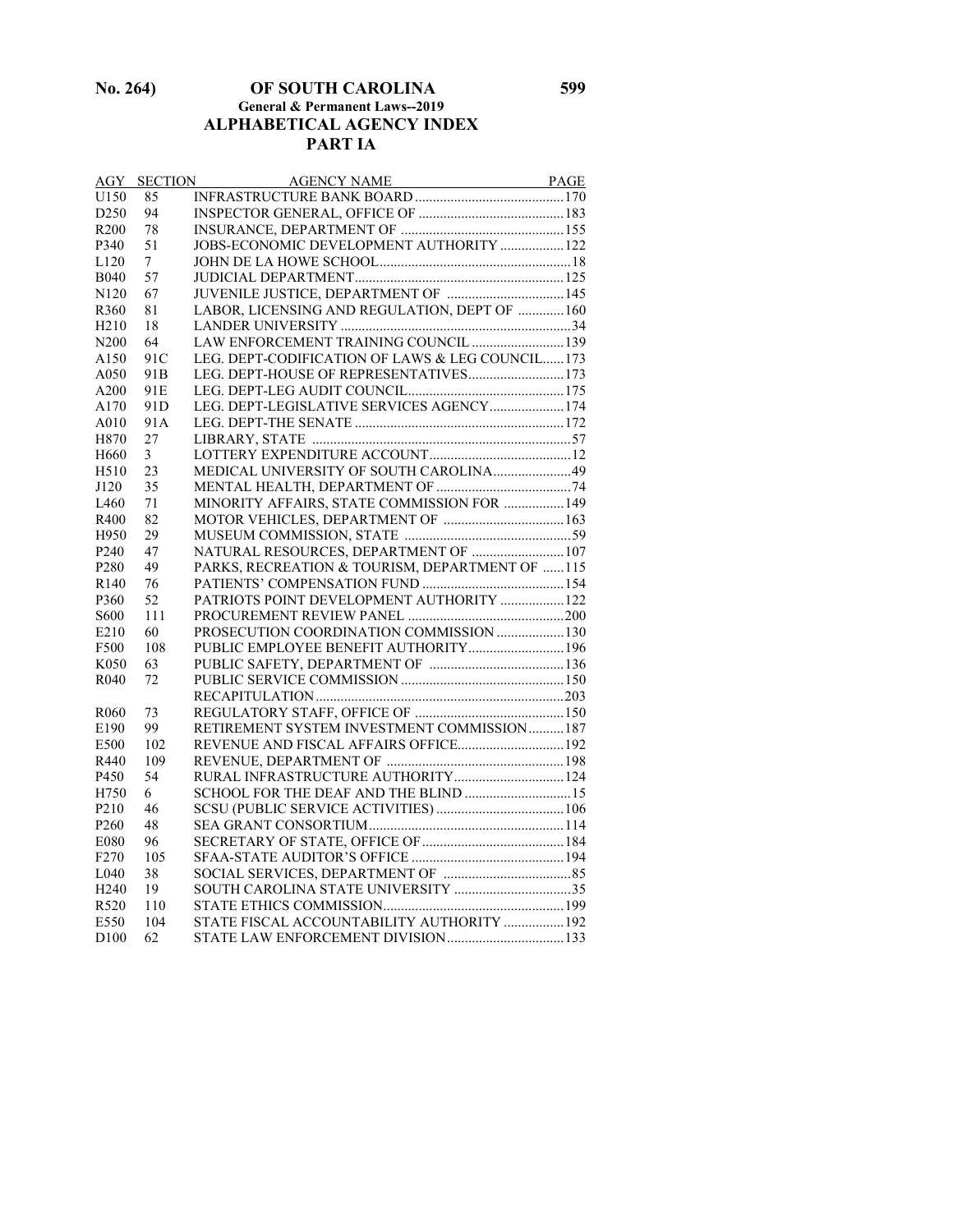**No. 264) OF SOUTH CAROLINA 599 General & Permanent Laws--2019 ALPHABETICAL AGENCY INDEX PART IA**

| AGY               | <b>SECTION</b>  |                                                  |  |
|-------------------|-----------------|--------------------------------------------------|--|
| U150              | 85              |                                                  |  |
| D <sub>250</sub>  | 94              |                                                  |  |
| R <sub>200</sub>  | 78              |                                                  |  |
| P340              | 51              | JOBS-ECONOMIC DEVELOPMENT AUTHORITY  122         |  |
| L120              | 7               |                                                  |  |
| <b>B040</b>       | 57              |                                                  |  |
| N <sub>120</sub>  | 67              | JUVENILE JUSTICE, DEPARTMENT OF  145             |  |
| R360              | 81              | LABOR, LICENSING AND REGULATION, DEPT OF  160    |  |
| H <sub>2</sub> 10 | 18              |                                                  |  |
| N <sub>200</sub>  | 64              | LAW ENFORCEMENT TRAINING COUNCIL  139            |  |
| A150              | 91C             | LEG. DEPT-CODIFICATION OF LAWS & LEG COUNCIL 173 |  |
| A050              | 91 <sub>B</sub> | LEG. DEPT-HOUSE OF REPRESENTATIVES 173           |  |
| A200              | 91 <sub>E</sub> |                                                  |  |
| A170              | 91 <sub>D</sub> | LEG. DEPT-LEGISLATIVE SERVICES AGENCY 174        |  |
| A010              | 91A             |                                                  |  |
| H870              | 27              |                                                  |  |
| H <sub>660</sub>  | 3               |                                                  |  |
| H <sub>510</sub>  | 23              | MEDICAL UNIVERSITY OF SOUTH CAROLINA 49          |  |
| J120              | 35              |                                                  |  |
| IA60              | 71              | MINORITY AFFAIRS, STATE COMMISSION FOR  149      |  |
| R400              | 82              |                                                  |  |
| H950              | 29              |                                                  |  |
| P <sub>240</sub>  | 47              | NATURAL RESOURCES, DEPARTMENT OF  107            |  |
| P <sub>280</sub>  | 49              | PARKS, RECREATION & TOURISM, DEPARTMENT OF 115   |  |
| R140              | 76              |                                                  |  |
| P360              | 52              | PATRIOTS POINT DEVELOPMENT AUTHORITY  122        |  |
| S600              | 111             |                                                  |  |
| E210              | 60              | PROSECUTION COORDINATION COMMISSION  130         |  |
| F500              | 108             | PUBLIC EMPLOYEE BENEFIT AUTHORITY 196            |  |
| K050              | 63              |                                                  |  |
| R <sub>040</sub>  | 72              |                                                  |  |
|                   |                 |                                                  |  |
| R <sub>060</sub>  | 73              |                                                  |  |
| E190              | 99              | RETIREMENT SYSTEM INVESTMENT COMMISSION187       |  |
| E500              | 102             | REVENUE AND FISCAL AFFAIRS OFFICE 192            |  |
| R440              | 109             |                                                  |  |
| P450              | 54              | RURAL INFRASTRUCTURE AUTHORITY 124               |  |
| H750              | 6               | SCHOOL FOR THE DEAF AND THE BLIND  15            |  |
| P <sub>210</sub>  | 46              |                                                  |  |
| P <sub>260</sub>  | 48              |                                                  |  |
| E080              | 96              |                                                  |  |
| F <sub>270</sub>  | 105             |                                                  |  |
| L <sub>040</sub>  | 38              |                                                  |  |
| H <sub>240</sub>  | 19              |                                                  |  |
| R520              | 110             |                                                  |  |
| E550              | 104             | STATE FISCAL ACCOUNTABILITY AUTHORITY  192       |  |
| D <sub>100</sub>  | 62              | STATE LAW ENFORCEMENT DIVISION  133              |  |
|                   |                 |                                                  |  |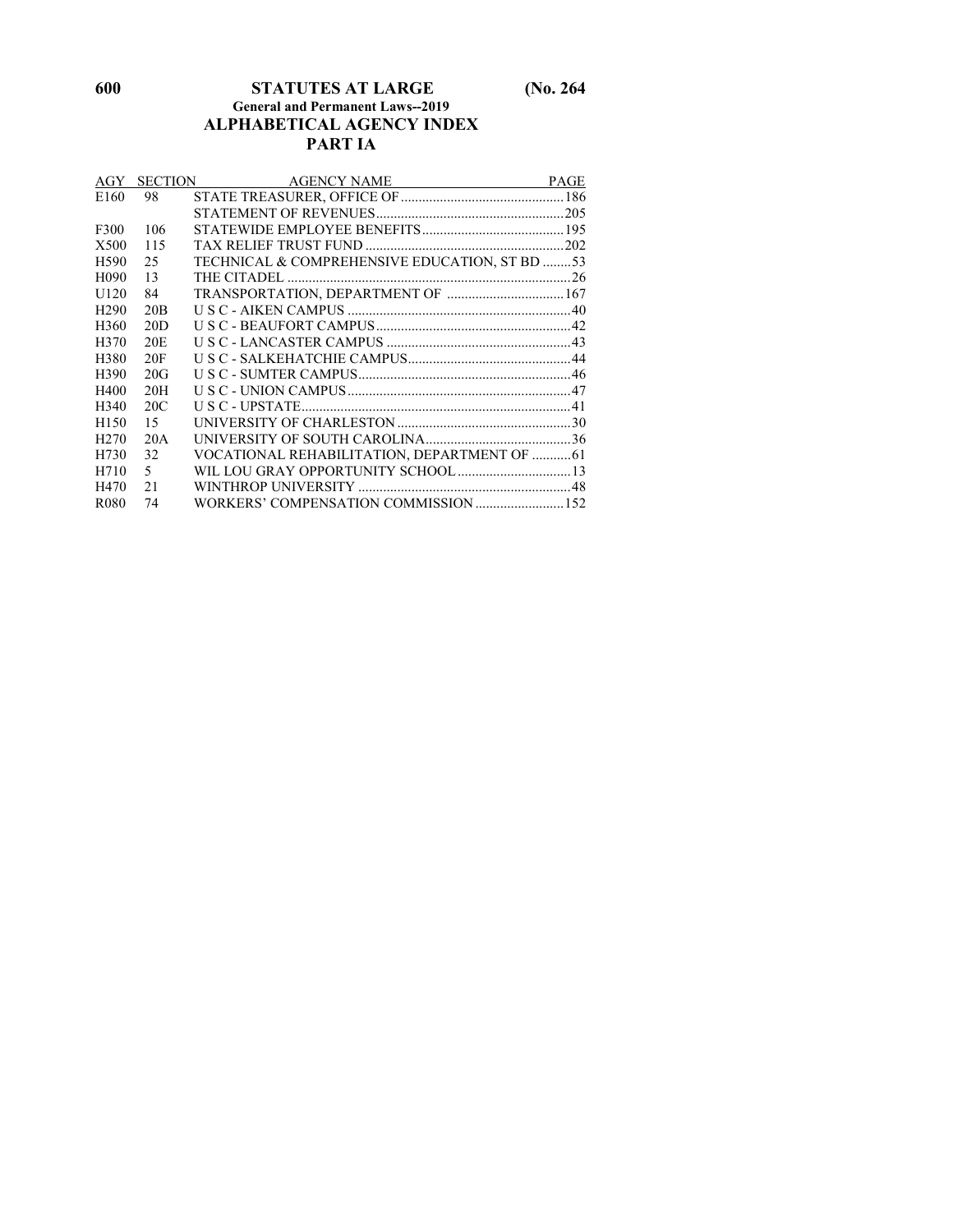#### **600 STATUTES AT LARGE (No. 264 General and Permanent Laws--2019 ALPHABETICAL AGENCY INDEX PART IA**

| AGY               |                 | <b>SECTION</b><br>AGENCY NAME                 | <b>PAGE</b> |
|-------------------|-----------------|-----------------------------------------------|-------------|
| E <sub>160</sub>  | 98              |                                               |             |
|                   |                 |                                               |             |
| F300              | 106             |                                               |             |
| X500              | 115             |                                               |             |
| H <sub>590</sub>  | 25              | TECHNICAL & COMPREHENSIVE EDUCATION, ST BD 53 |             |
| H <sub>090</sub>  | 13              |                                               |             |
| U <sub>120</sub>  | 84              | TRANSPORTATION, DEPARTMENT OF  167            |             |
| H <sub>290</sub>  | 20B             |                                               |             |
| H <sub>360</sub>  | 20D             |                                               |             |
| H370              | 20 <sub>E</sub> |                                               |             |
| H380              | 20F             |                                               |             |
| H <sub>390</sub>  | 20G             |                                               |             |
| H400              | 20H             |                                               |             |
| H <sub>340</sub>  | 20C             |                                               |             |
| H <sub>150</sub>  | 15              |                                               |             |
| H <sub>270</sub>  | 20A             |                                               |             |
| H730              | 32              | VOCATIONAL REHABILITATION, DEPARTMENT OF  61  |             |
| H710              | $5 -$           |                                               |             |
| H470              | 21              |                                               |             |
| R <sub>0</sub> 80 | 74              |                                               |             |
|                   |                 |                                               |             |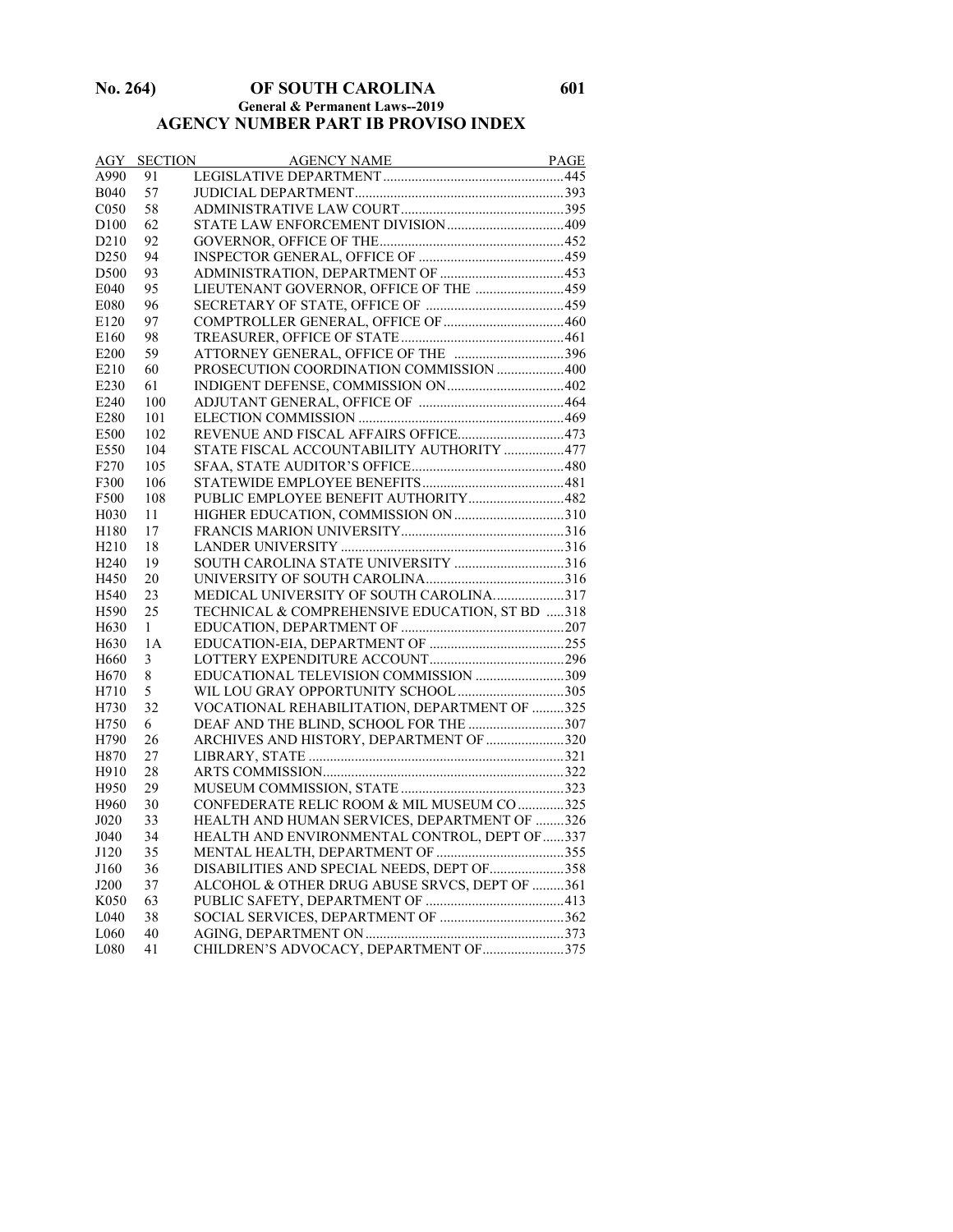#### **No. 264) OF SOUTH CAROLINA 601 General & Permanent Laws--2019 AGENCY NUMBER PART IB PROVISO INDEX**

| AGY               | <b>SECTION</b> | AGENCY NAME PAGE                               |  |
|-------------------|----------------|------------------------------------------------|--|
| A990              | 91             |                                                |  |
| <b>B040</b>       | 57             |                                                |  |
| C <sub>050</sub>  | 58             |                                                |  |
| D100              | 62             |                                                |  |
| D <sub>2</sub> 10 | 92             |                                                |  |
| D <sub>250</sub>  | 94             |                                                |  |
| D <sub>500</sub>  | 93             |                                                |  |
| E040              | 95             | LIEUTENANT GOVERNOR, OFFICE OF THE 459         |  |
| E080              | 96             |                                                |  |
| E120              | 97             |                                                |  |
| E160              | 98             |                                                |  |
| E200              | 59             | ATTORNEY GENERAL, OFFICE OF THE 396            |  |
| E210              | 60             | PROSECUTION COORDINATION COMMISSION 400        |  |
| E230              | 61             |                                                |  |
| E240              | 100            |                                                |  |
| E280              | 101            |                                                |  |
| E500              | 102            | REVENUE AND FISCAL AFFAIRS OFFICE473           |  |
| E550              | 104            | STATE FISCAL ACCOUNTABILITY AUTHORITY 477      |  |
| F <sub>270</sub>  | 105            |                                                |  |
| F300              | 106            |                                                |  |
| F500              | 108            | PUBLIC EMPLOYEE BENEFIT AUTHORITY482           |  |
| H <sub>0</sub> 30 | 11             |                                                |  |
| H180              | 17             |                                                |  |
| H <sub>210</sub>  | 18             |                                                |  |
| H <sub>240</sub>  | 19             | SOUTH CAROLINA STATE UNIVERSITY 316            |  |
| H450              | 20             |                                                |  |
| H540              | 23             | MEDICAL UNIVERSITY OF SOUTH CAROLINA317        |  |
| H590              | 25             | TECHNICAL & COMPREHENSIVE EDUCATION, ST BD 318 |  |
| H <sub>630</sub>  | 1              |                                                |  |
| H <sub>630</sub>  | 1 A            |                                                |  |
| H660              | 3              |                                                |  |
| H670              | 8              | EDUCATIONAL TELEVISION COMMISSION 309          |  |
| H710              | 5              | WIL LOU GRAY OPPORTUNITY SCHOOL305             |  |
| H730              | 32             | VOCATIONAL REHABILITATION, DEPARTMENT OF 325   |  |
| H750              | 6              | DEAF AND THE BLIND, SCHOOL FOR THE 307         |  |
| H790              | 26             | ARCHIVES AND HISTORY, DEPARTMENT OF 320        |  |
| H870              | 27             |                                                |  |
| H910              | 28             |                                                |  |
| H950              | 29             |                                                |  |
| H960              | 30             | CONFEDERATE RELIC ROOM & MIL MUSEUM CO 325     |  |
| J020              | 33             | HEALTH AND HUMAN SERVICES, DEPARTMENT OF 326   |  |
| J040              | 34             | HEALTH AND ENVIRONMENTAL CONTROL, DEPT OF 337  |  |
| J120              | 35             |                                                |  |
| J160              | 36             | DISABILITIES AND SPECIAL NEEDS, DEPT OF 358    |  |
| J200              | 37             | ALCOHOL & OTHER DRUG ABUSE SRVCS, DEPT OF 361  |  |
| K050              | 63             |                                                |  |
| L040              | 38             |                                                |  |
| L060              | 40             |                                                |  |
| L080              | 41             | CHILDREN'S ADVOCACY, DEPARTMENT OF 375         |  |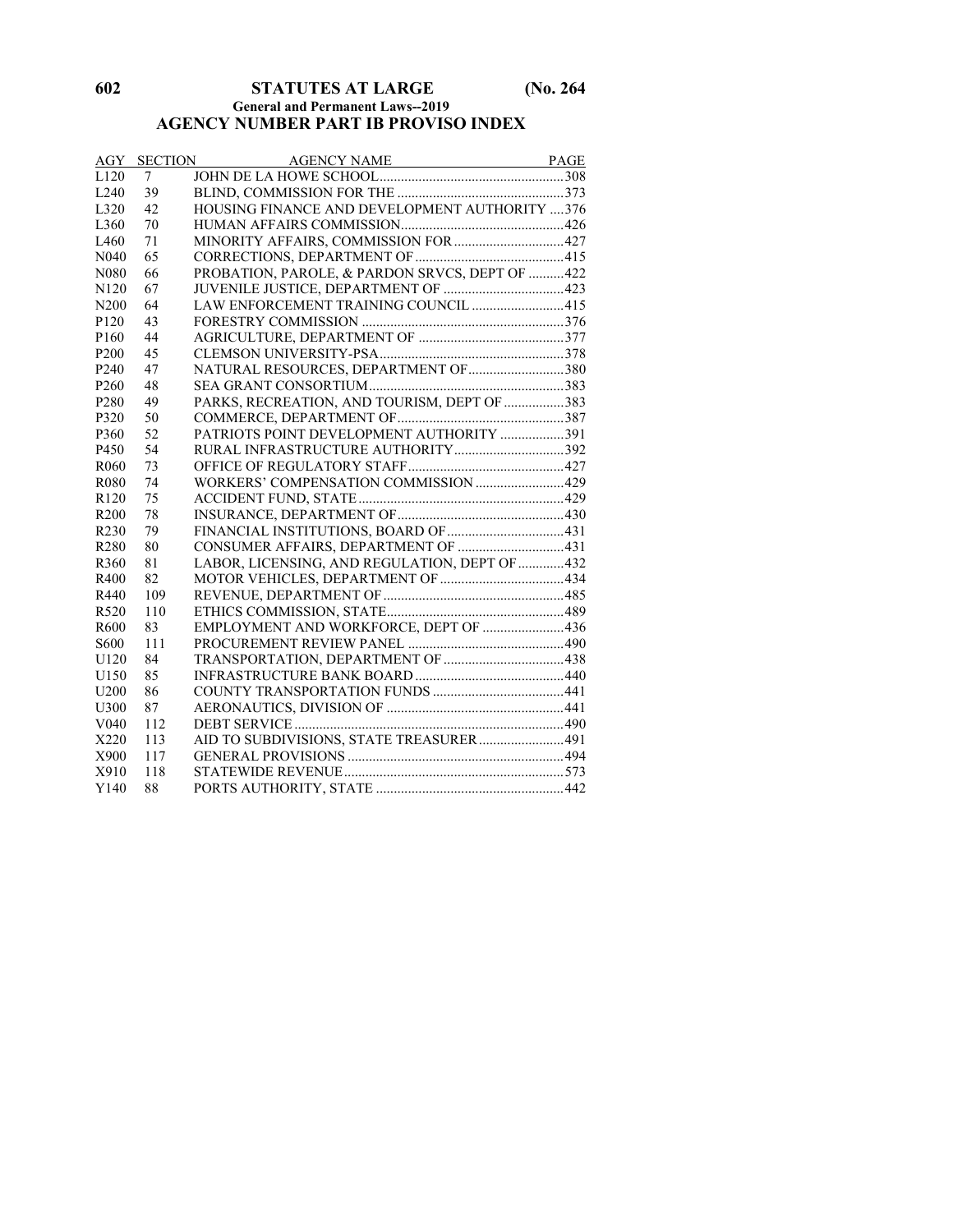## **602 STATUTES AT LARGE (No. 264**

#### **General and Permanent Laws--2019 AGENCY NUMBER PART IB PROVISO INDEX**

|                   | <b>AGY SECTION</b> | AGENCY NAME PAGE                                |  |
|-------------------|--------------------|-------------------------------------------------|--|
| L120              | 7                  |                                                 |  |
| L <sub>240</sub>  | 39                 |                                                 |  |
| L <sub>320</sub>  | 42                 | HOUSING FINANCE AND DEVELOPMENT AUTHORITY 376   |  |
| L360              | 70                 |                                                 |  |
| L460              | 71                 | MINORITY AFFAIRS, COMMISSION FOR  427           |  |
| N <sub>040</sub>  | 65                 |                                                 |  |
| N <sub>0</sub> 80 | 66                 | PROBATION, PAROLE, & PARDON SRVCS, DEPT OF  422 |  |
| N <sub>120</sub>  | 67                 |                                                 |  |
| N200              | 64                 | LAW ENFORCEMENT TRAINING COUNCIL 415            |  |
| P <sub>120</sub>  | 43                 |                                                 |  |
| P <sub>160</sub>  | 44                 |                                                 |  |
| P <sub>200</sub>  | 45                 |                                                 |  |
| P <sub>240</sub>  | 47                 | NATURAL RESOURCES, DEPARTMENT OF 380            |  |
| P <sub>260</sub>  | 48                 |                                                 |  |
| P <sub>280</sub>  | 49                 | PARKS, RECREATION, AND TOURISM, DEPT OF 383     |  |
| P320              | 50                 |                                                 |  |
| P360              | 52                 | PATRIOTS POINT DEVELOPMENT AUTHORITY 391        |  |
| P450              | 54                 | RURAL INFRASTRUCTURE AUTHORITY392               |  |
| R <sub>060</sub>  | 73                 |                                                 |  |
| R <sub>080</sub>  | 74                 | WORKERS' COMPENSATION COMMISSION 429            |  |
| R <sub>120</sub>  | 75                 |                                                 |  |
| R <sub>200</sub>  | 78                 |                                                 |  |
| R <sub>230</sub>  | 79                 |                                                 |  |
| R280              | 80                 | CONSUMER AFFAIRS, DEPARTMENT OF 431             |  |
| R360              | 81                 | LABOR, LICENSING, AND REGULATION, DEPT OF  432  |  |
| R400              | 82                 |                                                 |  |
| R440              | 109                |                                                 |  |
| R520              | 110                |                                                 |  |
| R <sub>600</sub>  | 83                 | EMPLOYMENT AND WORKFORCE, DEPT OF 436           |  |
| S600              | 111                |                                                 |  |
| U <sub>120</sub>  | 84                 |                                                 |  |
| U150              | 85                 |                                                 |  |
| U <sub>200</sub>  | 86                 |                                                 |  |
| U300              | 87                 |                                                 |  |
| V <sub>040</sub>  | 112                |                                                 |  |
| X220              | 113                | AID TO SUBDIVISIONS, STATE TREASURER  491       |  |
| X900              | 117                |                                                 |  |
| X910              | 118                |                                                 |  |
| Y140              | 88                 |                                                 |  |
|                   |                    |                                                 |  |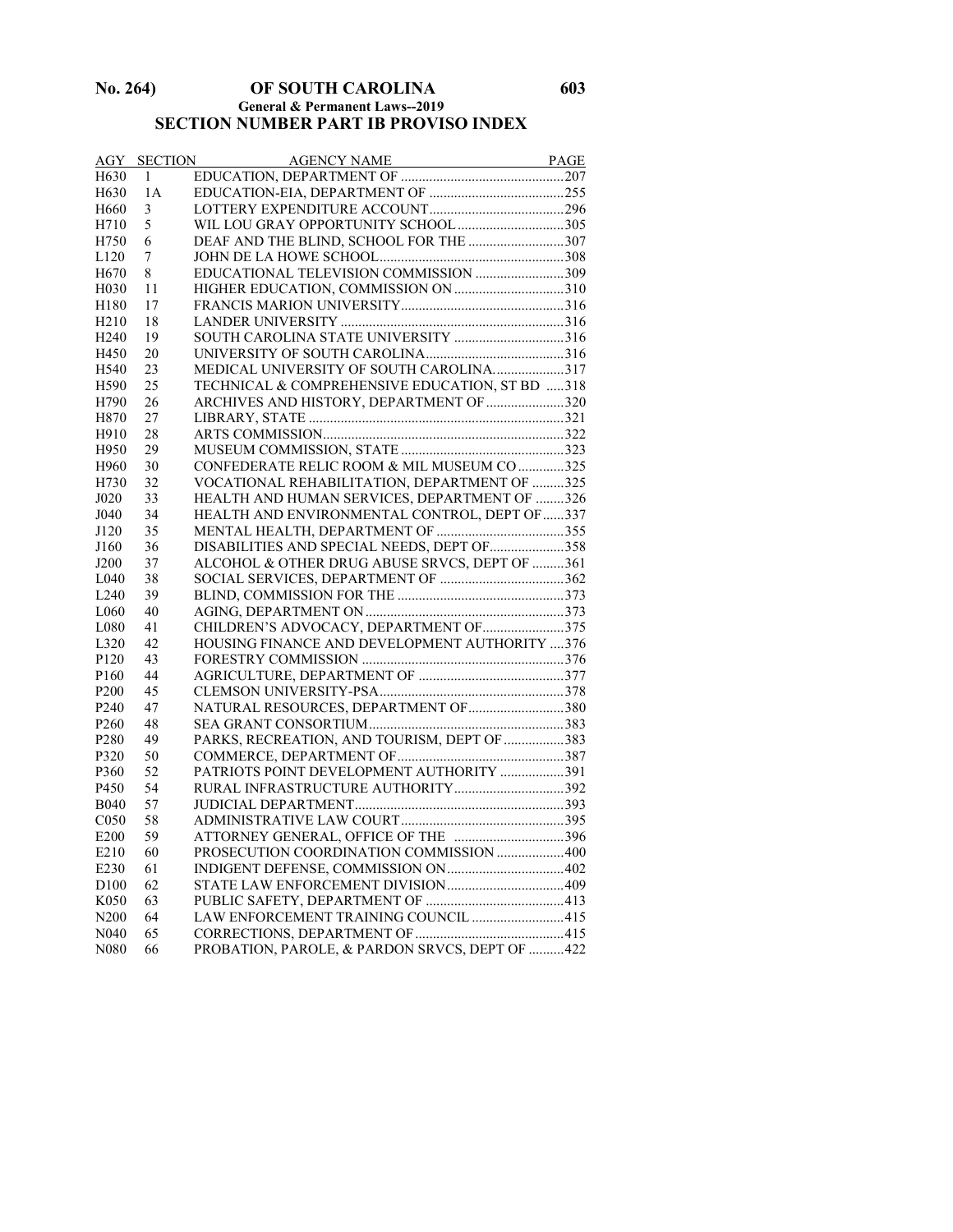#### **No. 264) OF SOUTH CAROLINA 603 General & Permanent Laws--2019 SECTION NUMBER PART IB PROVISO INDEX**

| AGY               |    |                                                 |  |
|-------------------|----|-------------------------------------------------|--|
| H630              |    |                                                 |  |
| H630              | 1A |                                                 |  |
| H <sub>660</sub>  | 3  |                                                 |  |
| H710              | 5  |                                                 |  |
| H750              | 6  | DEAF AND THE BLIND, SCHOOL FOR THE 307          |  |
| L <sub>120</sub>  | 7  |                                                 |  |
| H <sub>670</sub>  | 8  | EDUCATIONAL TELEVISION COMMISSION 309           |  |
| H <sub>0</sub> 30 | 11 |                                                 |  |
| H180              | 17 |                                                 |  |
| H <sub>210</sub>  | 18 |                                                 |  |
| H <sub>240</sub>  | 19 | SOUTH CAROLINA STATE UNIVERSITY 316             |  |
| H450              | 20 |                                                 |  |
| H540              | 23 | MEDICAL UNIVERSITY OF SOUTH CAROLINA317         |  |
| H590              | 25 | TECHNICAL & COMPREHENSIVE EDUCATION, ST BD 318  |  |
| H790              | 26 | ARCHIVES AND HISTORY, DEPARTMENT OF 320         |  |
| H870              | 27 |                                                 |  |
| H910              | 28 |                                                 |  |
| H950              | 29 |                                                 |  |
| H960              | 30 | CONFEDERATE RELIC ROOM & MIL MUSEUM CO 325      |  |
| H730              | 32 | VOCATIONAL REHABILITATION, DEPARTMENT OF 325    |  |
| J020              | 33 | HEALTH AND HUMAN SERVICES, DEPARTMENT OF 326    |  |
| J040              | 34 | HEALTH AND ENVIRONMENTAL CONTROL, DEPT OF 337   |  |
| J120              | 35 |                                                 |  |
| J160              | 36 | DISABILITIES AND SPECIAL NEEDS, DEPT OF 358     |  |
| J200              | 37 | ALCOHOL & OTHER DRUG ABUSE SRVCS, DEPT OF 361   |  |
| L <sub>040</sub>  | 38 |                                                 |  |
| L <sub>240</sub>  | 39 |                                                 |  |
| L <sub>060</sub>  | 40 |                                                 |  |
| L080              | 41 | CHILDREN'S ADVOCACY, DEPARTMENT OF 375          |  |
| L320              | 42 | HOUSING FINANCE AND DEVELOPMENT AUTHORITY 376   |  |
| P <sub>120</sub>  | 43 |                                                 |  |
| P <sub>160</sub>  | 44 |                                                 |  |
| P <sub>200</sub>  | 45 |                                                 |  |
| P <sub>240</sub>  | 47 | NATURAL RESOURCES, DEPARTMENT OF 380            |  |
| P <sub>260</sub>  | 48 |                                                 |  |
| P280              | 49 | PARKS, RECREATION, AND TOURISM, DEPT OF 383     |  |
| P320              | 50 |                                                 |  |
| P360              | 52 | PATRIOTS POINT DEVELOPMENT AUTHORITY 391        |  |
| P450              | 54 | RURAL INFRASTRUCTURE AUTHORITY392               |  |
| <b>B040</b>       | 57 |                                                 |  |
| C <sub>050</sub>  | 58 |                                                 |  |
| E200              | 59 | ATTORNEY GENERAL, OFFICE OF THE 396             |  |
| E210              | 60 | PROSECUTION COORDINATION COMMISSION  400        |  |
| E230              | 61 |                                                 |  |
| D <sub>100</sub>  | 62 |                                                 |  |
| K <sub>050</sub>  | 63 |                                                 |  |
| N <sub>200</sub>  | 64 | LAW ENFORCEMENT TRAINING COUNCIL 415            |  |
| N <sub>040</sub>  | 65 |                                                 |  |
| N080              | 66 | PROBATION, PAROLE, & PARDON SRVCS, DEPT OF  422 |  |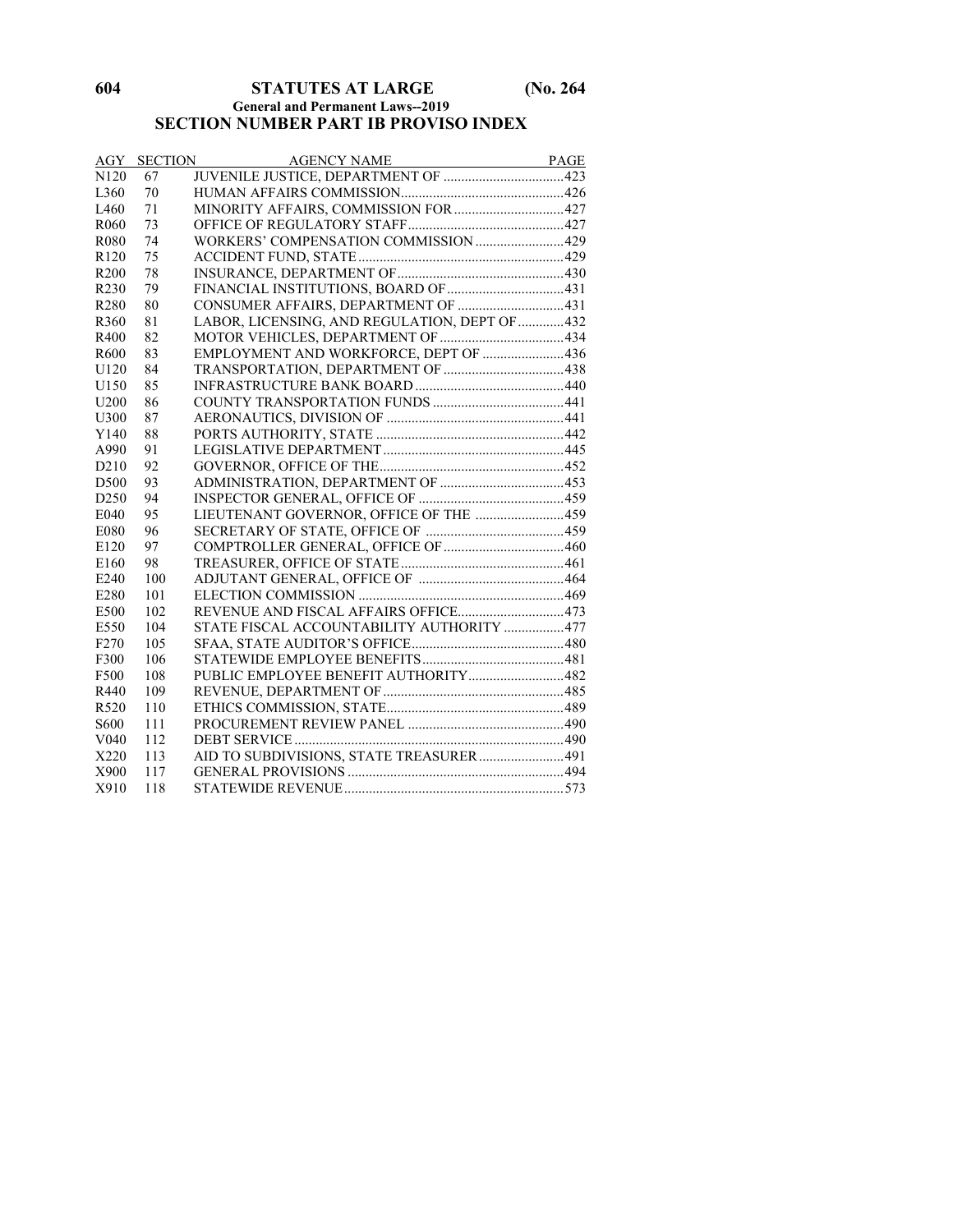## **604 STATUTES AT LARGE (No. 264**

#### **General and Permanent Laws--2019**

## **SECTION NUMBER PART IB PROVISO INDEX**

|                   | <b>AGY SECTION</b> |                                                |  |
|-------------------|--------------------|------------------------------------------------|--|
| N <sub>120</sub>  | 67                 |                                                |  |
| L <sub>360</sub>  | 70                 |                                                |  |
| L <sub>460</sub>  | 71                 | MINORITY AFFAIRS, COMMISSION FOR  427          |  |
| R <sub>060</sub>  | 73                 |                                                |  |
| R <sub>0</sub> 80 | 74                 | WORKERS' COMPENSATION COMMISSION  429          |  |
| R <sub>120</sub>  | 75                 |                                                |  |
| R <sub>200</sub>  | 78                 |                                                |  |
| R230              | 79                 |                                                |  |
| R280              | 80                 | CONSUMER AFFAIRS, DEPARTMENT OF 431            |  |
| R360              | 81                 | LABOR, LICENSING, AND REGULATION, DEPT OF  432 |  |
| R400              | 82                 |                                                |  |
| R600              | 83                 | EMPLOYMENT AND WORKFORCE, DEPT OF 436          |  |
| U120              | 84                 |                                                |  |
| U <sub>150</sub>  | 85                 |                                                |  |
| U <sub>200</sub>  | 86                 |                                                |  |
| U300              | 87                 |                                                |  |
| Y140              | 88                 |                                                |  |
| A990              | 91                 |                                                |  |
| D <sub>210</sub>  | 92                 |                                                |  |
| D500              | 93                 |                                                |  |
| D <sub>250</sub>  | 94                 |                                                |  |
| E040              | 95                 | LIEUTENANT GOVERNOR, OFFICE OF THE 459         |  |
| E080              | 96                 |                                                |  |
| E120              | 97                 |                                                |  |
| E160              | 98                 |                                                |  |
| E240              | 100                |                                                |  |
| E280              | 101                |                                                |  |
| E500              | 102                | REVENUE AND FISCAL AFFAIRS OFFICE473           |  |
| E550              | 104                | STATE FISCAL ACCOUNTABILITY AUTHORITY 477      |  |
| F <sub>270</sub>  | 105                |                                                |  |
| F300              | 106                |                                                |  |
| F500              | 108                | PUBLIC EMPLOYEE BENEFIT AUTHORITY482           |  |
| R440              | 109                |                                                |  |
| R520              | 110                |                                                |  |
| S600              | 111                |                                                |  |
| V <sub>040</sub>  | 112                |                                                |  |
| X220              | 113                | AID TO SUBDIVISIONS, STATE TREASURER  491      |  |
| X900              | 117                |                                                |  |
| X910              | 118                |                                                |  |
|                   |                    |                                                |  |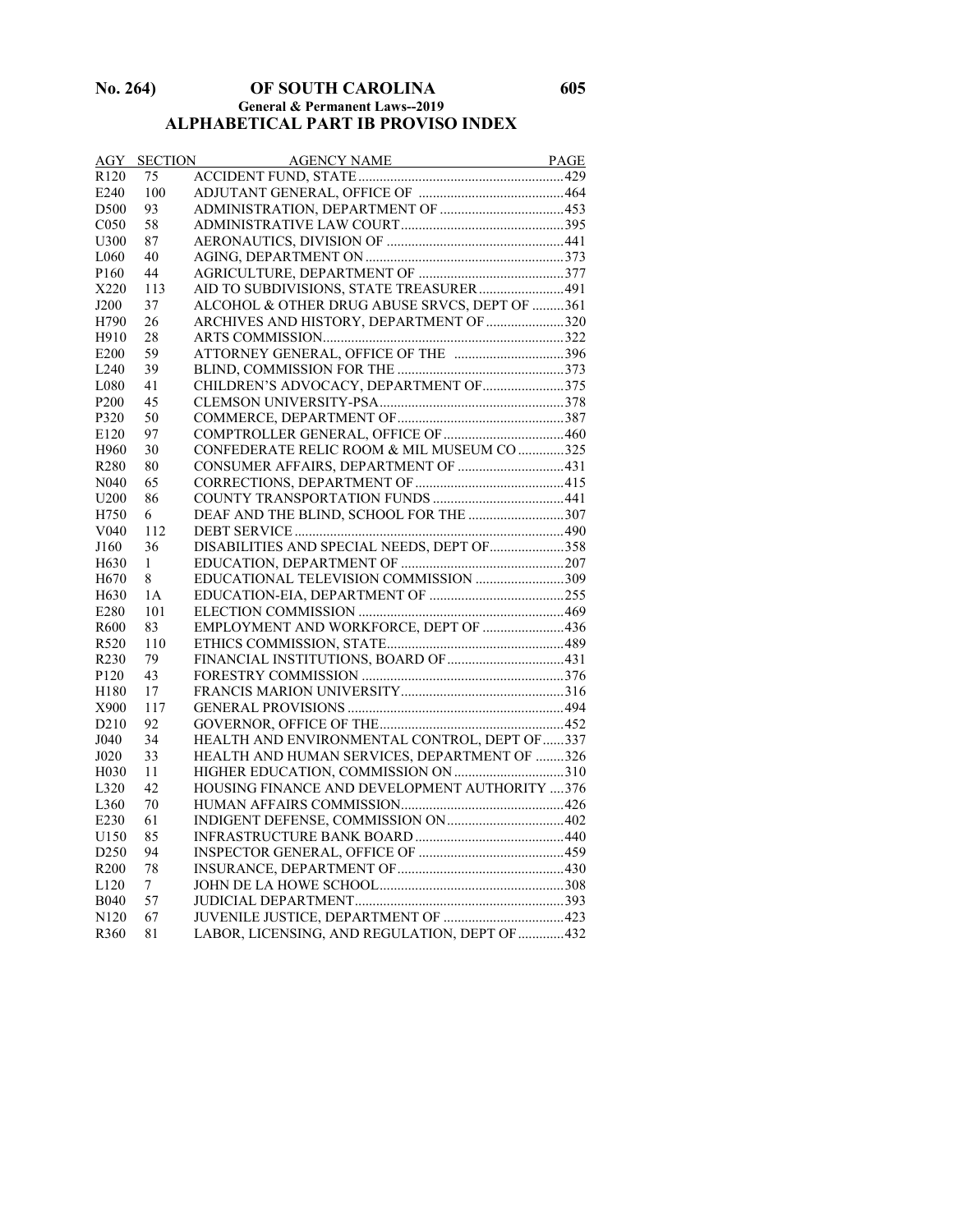#### **No. 264) OF SOUTH CAROLINA 605 General & Permanent Laws--2019 ALPHABETICAL PART IB PROVISO INDEX**

| AGY               | <b>SECTION</b> | AGENCY NAME PAGE                              |  |
|-------------------|----------------|-----------------------------------------------|--|
| R <sub>120</sub>  | 75             |                                               |  |
| E240              | 100            |                                               |  |
| D <sub>500</sub>  | 93             |                                               |  |
| C <sub>050</sub>  | 58             |                                               |  |
| U300              | 87             |                                               |  |
| L <sub>060</sub>  | 40             |                                               |  |
| P <sub>160</sub>  | 44             |                                               |  |
| X220              | 113            | AID TO SUBDIVISIONS, STATE TREASURER  491     |  |
| J200              | 37             | ALCOHOL & OTHER DRUG ABUSE SRVCS, DEPT OF 361 |  |
| H790              | 26             | ARCHIVES AND HISTORY, DEPARTMENT OF 320       |  |
| H910              | 28             |                                               |  |
| E <sub>200</sub>  | 59             | ATTORNEY GENERAL, OFFICE OF THE 396           |  |
| L240              | 39             |                                               |  |
| L080              | 41             | CHILDREN'S ADVOCACY, DEPARTMENT OF 375        |  |
| P <sub>200</sub>  | 45             |                                               |  |
| P320              | 50             |                                               |  |
| E120              | 97             |                                               |  |
| H960              | 30             | CONFEDERATE RELIC ROOM & MIL MUSEUM CO 325    |  |
| R <sub>280</sub>  | 80             | CONSUMER AFFAIRS, DEPARTMENT OF  431          |  |
| N <sub>040</sub>  | 65             |                                               |  |
| U <sub>200</sub>  | 86             |                                               |  |
| H750              | 6              | DEAF AND THE BLIND, SCHOOL FOR THE 307        |  |
| V <sub>040</sub>  | 112            |                                               |  |
| J160              | 36             | DISABILITIES AND SPECIAL NEEDS, DEPT OF 358   |  |
| H <sub>630</sub>  | 1              |                                               |  |
| H <sub>670</sub>  | 8              | EDUCATIONAL TELEVISION COMMISSION 309         |  |
| H <sub>630</sub>  | 1A             |                                               |  |
| E280              | 101            |                                               |  |
| R600              | 83             | EMPLOYMENT AND WORKFORCE, DEPT OF 436         |  |
| R <sub>520</sub>  | 110            |                                               |  |
| R <sub>230</sub>  | 79             |                                               |  |
| P120              | 43             |                                               |  |
| H180              | 17             |                                               |  |
| X900              | 117            |                                               |  |
| D <sub>210</sub>  | 92             |                                               |  |
| J040              | 34             | HEALTH AND ENVIRONMENTAL CONTROL, DEPT OF 337 |  |
| J020              | 33             | HEALTH AND HUMAN SERVICES, DEPARTMENT OF 326  |  |
| H <sub>0</sub> 30 | 11             |                                               |  |
| L320              | 42             | HOUSING FINANCE AND DEVELOPMENT AUTHORITY 376 |  |
| L360              | 70             |                                               |  |
| E230              | 61             |                                               |  |
| U150              | 85             |                                               |  |
| D <sub>250</sub>  | 94             |                                               |  |
| R <sub>200</sub>  | 78             |                                               |  |
| L120              | 7              |                                               |  |
| <b>B040</b>       | 57             |                                               |  |
| N <sub>120</sub>  | 67             |                                               |  |
| R360              | 81             | LABOR, LICENSING, AND REGULATION, DEPT OF 432 |  |